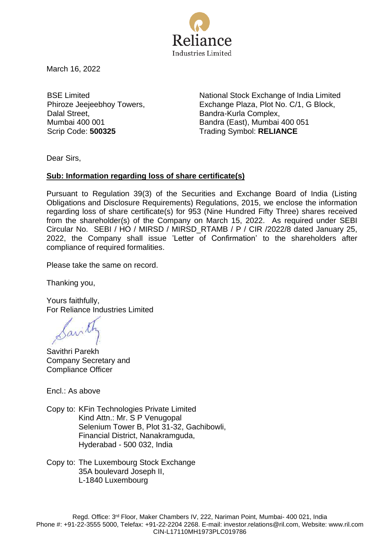

March 16, 2022

BSE Limited Phiroze Jeejeebhoy Towers, Dalal Street, Mumbai 400 001

National Stock Exchange of India Limited Exchange Plaza, Plot No. C/1, G Block, Bandra-Kurla Complex, Bandra (East), Mumbai 400 051 Scrip Code: **500325** Trading Symbol: **RELIANCE** 

Dear Sirs,

## **Sub: Information regarding loss of share certificate(s)**

Pursuant to Regulation 39(3) of the Securities and Exchange Board of India (Listing Obligations and Disclosure Requirements) Regulations, 2015, we enclose the information regarding loss of share certificate(s) for 953 (Nine Hundred Fifty Three) shares received from the shareholder(s) of the Company on March 15, 2022. As required under SEBI Circular No. SEBI / HO / MIRSD / MIRSD\_RTAMB / P / CIR /2022/8 dated January 25, 2022, the Company shall issue 'Letter of Confirmation' to the shareholders after compliance of required formalities.

Please take the same on record.

Thanking you,

Yours faithfully, For Reliance Industries Limited

Savilh

Savithri Parekh Company Secretary and Compliance Officer

Encl.: As above

Copy to: KFin Technologies Private Limited Kind Attn.: Mr. S P Venugopal Selenium Tower B, Plot 31-32, Gachibowli, Financial District, Nanakramguda, Hyderabad - 500 032, India

Copy to: The Luxembourg Stock Exchange 35A boulevard Joseph II, L-1840 Luxembourg